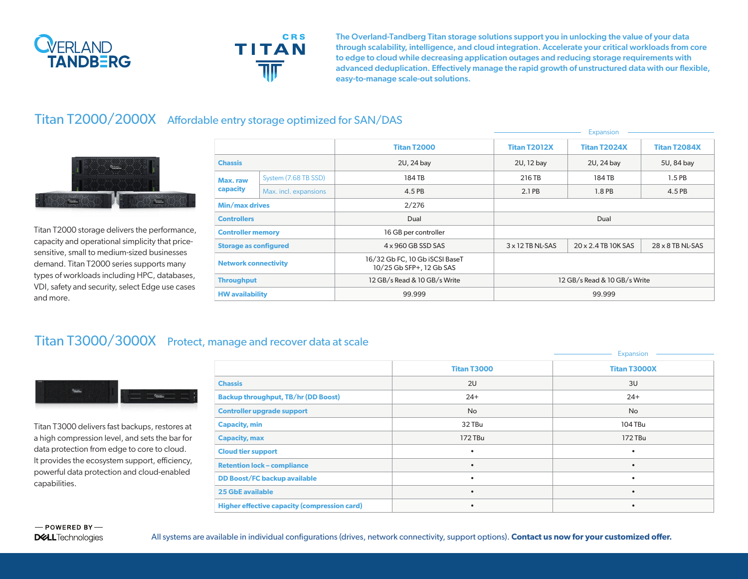



The Overland-Tandberg Titan storage solutions support you in unlocking the value of your data through scalability, intelligence, and cloud integration. Accelerate your critical workloads from core to edge to cloud while decreasing application outages and reducing storage requirements with advanced deduplication. Effectively manage the rapid growth of unstructured data with our flexible, easy-to-manage scale-out solutions.

## Titan T2000/2000X Affordable entry storage optimized for SAN/DAS



Titan T2000 storage delivers the performance, capacity and operational simplicity that pricesensitive, small to medium-sized businesses demand. Titan T2000 series supports many types of workloads including HPC, databases, VDI, safety and security, select Edge use cases and more.

|                              |                       |                                                            | Expansion                    |                     |                         |
|------------------------------|-----------------------|------------------------------------------------------------|------------------------------|---------------------|-------------------------|
|                              |                       | <b>Titan T2000</b>                                         | <b>Titan T2012X</b>          | <b>Titan T2024X</b> | <b>Titan T2084X</b>     |
| <b>Chassis</b>               |                       | 2U, 24 bay                                                 | 2U, 12 bay                   | 2U, 24 bay          | 5U, 84 bay              |
| Max. raw<br>capacity         | System (7.68 TB SSD)  | 184 TB                                                     | 216 TB                       | 184 TB              | $1.5$ PB                |
|                              | Max. incl. expansions | 4.5 PB                                                     | 2.1 PB                       | 1.8 PB              | 4.5 PB                  |
| Min/max drives               |                       | 2/276                                                      |                              |                     |                         |
| <b>Controllers</b>           |                       | Dual                                                       | Dual                         |                     |                         |
| <b>Controller memory</b>     |                       | 16 GB per controller                                       |                              |                     |                         |
| <b>Storage as configured</b> |                       | $4 \times 960$ GB SSD SAS                                  | $3 \times 12$ TB NL-SAS      | 20 x 2.4 TB 10K SAS | $28 \times 8$ TB NL-SAS |
| <b>Network connectivity</b>  |                       | 16/32 Gb FC, 10 Gb iSCSI BaseT<br>10/25 Gb SFP+, 12 Gb SAS |                              |                     |                         |
| <b>Throughput</b>            |                       | 12 GB/s Read & 10 GB/s Write                               | 12 GB/s Read & 10 GB/s Write |                     |                         |
| <b>HW</b> availability       |                       | 99.999                                                     | 99.999                       |                     |                         |

## Titan T3000/3000X Protect, manage and recover data at scale



Titan T3000 delivers fast backups, restores at a high compression level, and sets the bar for data protection from edge to core to cloud. It provides the ecosystem support, efficiency, powerful data protection and cloud-enabled capabilities.

|                                                     |                    | Expansion           |
|-----------------------------------------------------|--------------------|---------------------|
|                                                     | <b>Titan T3000</b> | <b>Titan T3000X</b> |
| <b>Chassis</b>                                      | 2U                 | 3U                  |
| <b>Backup throughput, TB/hr (DD Boost)</b>          | $24+$              | $24+$               |
| <b>Controller upgrade support</b>                   | <b>No</b>          | No                  |
| <b>Capacity, min</b>                                | 32 TBu             | 104 TBu             |
| <b>Capacity, max</b>                                | 172 TBu            | 172 TBu             |
| <b>Cloud tier support</b>                           | ٠                  | $\bullet$           |
| <b>Retention lock - compliance</b>                  |                    | $\bullet$           |
| <b>DD Boost/FC backup available</b>                 | ٠                  | $\bullet$           |
| <b>25 GbE available</b>                             | $\bullet$          | $\bullet$           |
| <b>Higher effective capacity (compression card)</b> |                    | $\bullet$           |

All systems are available in individual configurations (drives, network connectivity, support options). **Contact us now for your customized offer.**